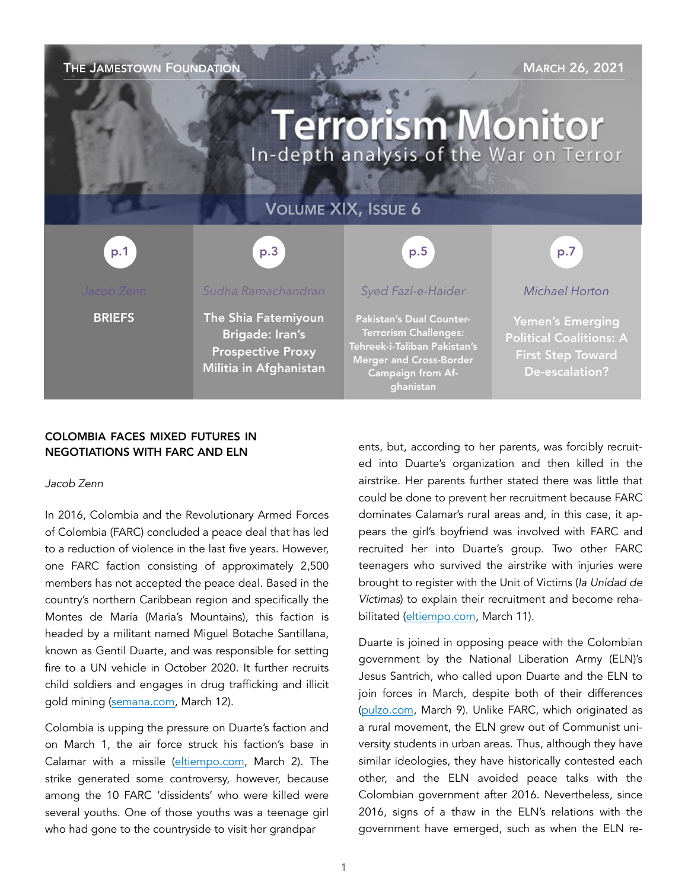# THE JAMESTOWN FOUNDATION MARCH 26, 2021 **Terrorism Monitor** In-depth analysis of the War on Terror VOLUME XIX, ISSUE 6 p.3 p.1 p.5 p.7*Sudha Ramachandran Syed Fazl-e-Haider Michael Horton*  **BRIEFS** The Shia Fatemiyoun Pakistan's Dual Counter-Yemen's Emerging Terrorism Challenges: Brigade: Iran's Political Coalitions: A Tehreek-i-Taliban Pakistan's Prospective Proxy First Step Toward Merger and Cross-Border Militia in Afghanistan De-escalation? Campaign from Afghanistan

# COLOMBIA FACES MIXED FUTURES IN NEGOTIATIONS WITH FARC AND ELN

### *Jacob Zenn*

In 2016, Colombia and the Revolutionary Armed Forces of Colombia (FARC) concluded a peace deal that has led to a reduction of violence in the last five years. However, one FARC faction consisting of approximately 2,500 members has not accepted the peace deal. Based in the country's northern Caribbean region and specifically the Montes de María (Maria's Mountains), this faction is headed by a militant named Miguel Botache Santillana, known as Gentil Duarte, and was responsible for setting fire to a UN vehicle in October 2020. It further recruits child soldiers and engages in drug trafficking and illicit gold mining [\(semana.com,](https://www.semana.com/nacion/articulo/revelan-chats-de-danna-liseth-montilla-menor-muerta-tras-un-bombardeo-militar-en-guaviare/202126/) March 12).

Colombia is upping the pressure on Duarte's faction and on March 1, the air force struck his faction's base in Calamar with a missile ([eltiempo.com,](https://www.eltiempo.com/justicia/conflicto-y-narcotrafico/en-combate-con-ejercito-mueren-10-integrantes-de-las-disidencias-de-farc-570551) March 2). The strike generated some controversy, however, because among the 10 FARC 'dissidents' who were killed were several youths. One of those youths was a teenage girl who had gone to the countryside to visit her grandpar

ents, but, according to her parents, was forcibly recruited into Duarte's organization and then killed in the airstrike. Her parents further stated there was little that could be done to prevent her recruitment because FARC dominates Calamar's rural areas and, in this case, it appears the girl's boyfriend was involved with FARC and recruited her into Duarte's group. Two other FARC teenagers who survived the airstrike with injuries were brought to register with the Unit of Victims (*la Unidad de Víctimas*) to explain their recruitment and become rehabilitated ([eltiempo.com](https://www.eltiempo.com/unidad-investigativa/habla-padre-de-danna-lizeth-joven-muerta-en-bombardeo-en-guaviare-572543), March 11).

Duarte is joined in opposing peace with the Colombian government by the National Liberation Army (ELN)'s Jesus Santrich, who called upon Duarte and the ELN to join forces in March, despite both of their differences ([pulzo.com](https://www.pulzo.com/nacion/jesus-santrich-disidentes-hacen-llamado-gentil-duarte-eln-PP1036644), March 9). Unlike FARC, which originated as a rural movement, the ELN grew out of Communist university students in urban areas. Thus, although they have similar ideologies, they have historically contested each other, and the ELN avoided peace talks with the Colombian government after 2016. Nevertheless, since 2016, signs of a thaw in the ELN's relations with the government have emerged, such as when the ELN re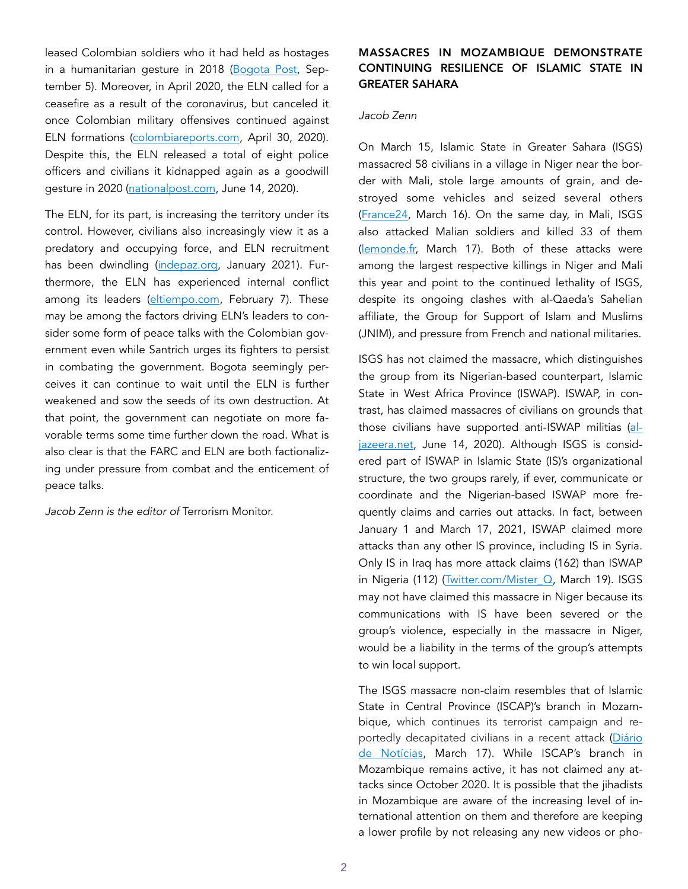leased Colombian soldiers who it had held as hostages in a humanitarian gesture in 2018 [\(Bogota Post](https://thebogotapost.com/eln-release-three-hostages-as-six-others-remain-in-captivity-in-arauca/31967/), September 5). Moreover, in April 2020, the ELN called for a ceasefire as a result of the coronavirus, but canceled it once Colombian military offensives continued against ELN formations [\(colombiareports.com](https://colombiareports.com/eln-ends-coronavirus-ceasefire-weeks-ahead-of-expected-peak-in-infections/), April 30, 2020). Despite this, the ELN released a total of eight police officers and civilians it kidnapped again as a goodwill gesture in 2020 ([nationalpost.com,](https://nationalpost.com/pmn/environment-pmn/colombia-guerrilla-group-the-eln-releases-six-prisoners) June 14, 2020).

The ELN, for its part, is increasing the territory under its control. However, civilians also increasingly view it as a predatory and occupying force, and ELN recruitment has been dwindling ([indepaz.org,](http://www.indepaz.org.co/wp-content/uploads/2021/02/INFORME-ELN-2020-corregido-L-cgp.pdf) January 2021). Furthermore, the ELN has experienced internal conflict among its leaders ([eltiempo.com,](https://www.eltiempo.com/unidad-investigativa/eln-documento-enviado-desde-cuba-revela-division-en-esa-guerrilla-565197) February 7). These may be among the factors driving ELN's leaders to consider some form of peace talks with the Colombian government even while Santrich urges its fighters to persist in combating the government. Bogota seemingly perceives it can continue to wait until the ELN is further weakened and sow the seeds of its own destruction. At that point, the government can negotiate on more favorable terms some time further down the road. What is also clear is that the FARC and ELN are both factionalizing under pressure from combat and the enticement of peace talks.

*Jacob Zenn is the editor of* Terrorism Monitor.

# MASSACRES IN MOZAMBIQUE DEMONSTRATE CONTINUING RESILIENCE OF ISLAMIC STATE IN GREATER SAHARA

#### *Jacob Zenn*

On March 15, Islamic State in Greater Sahara (ISGS) massacred 58 civilians in a village in Niger near the border with Mali, stole large amounts of grain, and destroyed some vehicles and seized several others ([France24](https://www.france24.com/en/live-news/20210316-fifty-eight-killed-in-barbarous-niger-attacks-near-mali-border), March 16). On the same day, in Mali, ISGS also attacked Malian soldiers and killed 33 of them ([lemonde.fr,](https://www.lemonde.fr/afrique/article/2021/03/17/mali-plus-de-30-soldats-tues-dans-une-attaque-attribuee-a-des-djihadistes_6073476_3212.html) March 17). Both of these attacks were among the largest respective killings in Niger and Mali this year and point to the continued lethality of ISGS, despite its ongoing clashes with al-Qaeda's Sahelian affiliate, the Group for Support of Islam and Muslims (JNIM), and pressure from French and national militaries.

ISGS has not claimed the massacre, which distinguishes the group from its Nigerian-based counterpart, Islamic State in West Africa Province (ISWAP). ISWAP, in contrast, has claimed massacres of civilians on grounds that those civilians have supported anti-ISWAP militias [\(al](https://www.aljazeera.com/news/2020/6/14/20-soldiers-40-civilians-killed-in-attacks-nigerias-borno-state)[jazeera.net](https://www.aljazeera.com/news/2020/6/14/20-soldiers-40-civilians-killed-in-attacks-nigerias-borno-state), June 14, 2020). Although ISGS is considered part of ISWAP in Islamic State (IS)'s organizational structure, the two groups rarely, if ever, communicate or coordinate and the Nigerian-based ISWAP more frequently claims and carries out attacks. In fact, between January 1 and March 17, 2021, ISWAP claimed more attacks than any other IS province, including IS in Syria. Only IS in Iraq has more attack claims (162) than ISWAP in Nigeria (112) [\(Twitter.com/Mister\\_Q,](https://twitter.com/Mister__Q_/status/1372648053186891777) March 19). ISGS may not have claimed this massacre in Niger because its communications with IS have been severed or the group's violence, especially in the massacre in Niger, would be a liability in the terms of the group's attempts to win local support.

The ISGS massacre non-claim resembles that of Islamic State in Central Province (ISCAP)'s branch in Mozambique, which continues its terrorist campaign and re-portedly decapitated civilians in a recent attack [\(Diário](https://www.dn.pt/internacional/criancas-decapitadas-um-milhao-de-pessoas-com-fome-a-crise-no-norte-de-mocambique-13466143.html) [de Notícias](https://www.dn.pt/internacional/criancas-decapitadas-um-milhao-de-pessoas-com-fome-a-crise-no-norte-de-mocambique-13466143.html), March 17). While ISCAP's branch in Mozambique remains active, it has not claimed any attacks since October 2020. It is possible that the jihadists in Mozambique are aware of the increasing level of international attention on them and therefore are keeping a lower profile by not releasing any new videos or pho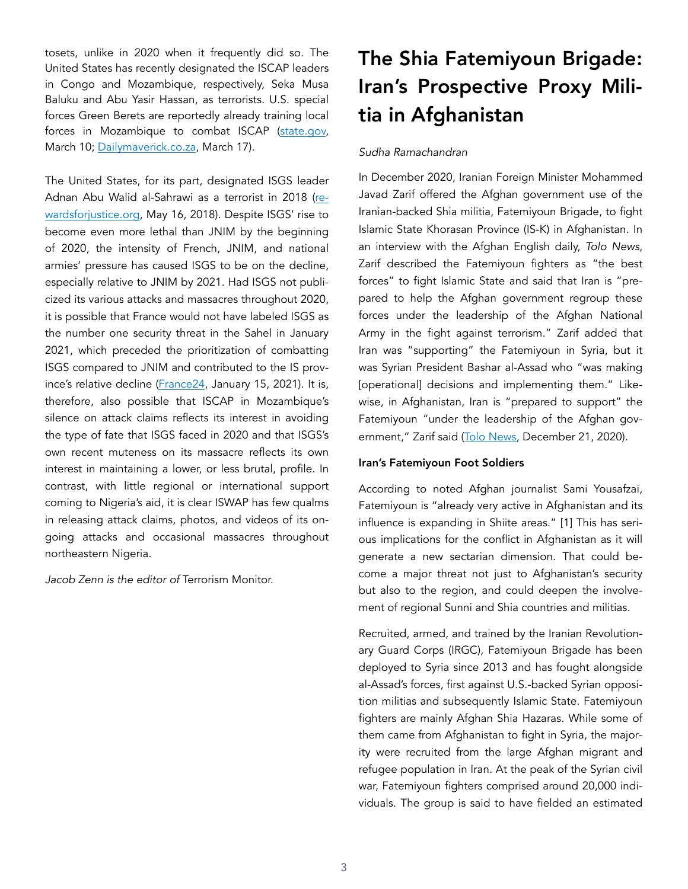tosets, unlike in 2020 when it frequently did so. The United States has recently designated the ISCAP leaders in Congo and Mozambique, respectively, Seka Musa Baluku and Abu Yasir Hassan, as terrorists. U.S. special forces Green Berets are reportedly already training local forces in Mozambique to combat ISCAP [\(state.gov,](https://www.state.gov/state-department-terrorist-designations-of-isis-affiliates-and-leaders-in-the-democratic-republic-of-the-congo-and-mozambique/) March 10; [Dailymaverick.co.za](https://www.dailymaverick.co.za/article/2021-03-17-us-military-joins-the-fight-against-isis-in-mozambique/), March 17).

The United States, for its part, designated ISGS leader Adnan Abu Walid al-Sahrawi as a terrorist in 2018 ([re](https://rewardsforjustice.net/english/abu_walid.html)[wardsforjustice.org](https://rewardsforjustice.net/english/abu_walid.html), May 16, 2018). Despite ISGS' rise to become even more lethal than JNIM by the beginning of 2020, the intensity of French, JNIM, and national armies' pressure has caused ISGS to be on the decline, especially relative to JNIM by 2021. Had ISGS not publicized its various attacks and massacres throughout 2020, it is possible that France would not have labeled ISGS as the number one security threat in the Sahel in January 2021, which preceded the prioritization of combatting ISGS compared to JNIM and contributed to the IS province's relative decline [\(France24](https://www.france24.com/en/20200115-islamic-state-replaces-al-qaeda-as-enemy-no-1-in-sahel), January 15, 2021). It is, therefore, also possible that ISCAP in Mozambique's silence on attack claims reflects its interest in avoiding the type of fate that ISGS faced in 2020 and that ISGS's own recent muteness on its massacre reflects its own interest in maintaining a lower, or less brutal, profile. In contrast, with little regional or international support coming to Nigeria's aid, it is clear ISWAP has few qualms in releasing attack claims, photos, and videos of its ongoing attacks and occasional massacres throughout northeastern Nigeria.

*Jacob Zenn is the editor of* Terrorism Monitor.

# The Shia Fatemiyoun Brigade: Iran's Prospective Proxy Militia in Afghanistan

## *Sudha Ramachandran*

In December 2020, Iranian Foreign Minister Mohammed Javad Zarif offered the Afghan government use of the Iranian-backed Shia militia, Fatemiyoun Brigade, to fight Islamic State Khorasan Province (IS-K) in Afghanistan. In an interview with the Afghan English daily, *Tolo News*, Zarif described the Fatemiyoun fighters as "the best forces" to fight Islamic State and said that Iran is "prepared to help the Afghan government regroup these forces under the leadership of the Afghan National Army in the fight against terrorism." Zarif added that Iran was "supporting" the Fatemiyoun in Syria, but it was Syrian President Bashar al-Assad who "was making [operational] decisions and implementing them." Likewise, in Afghanistan, Iran is "prepared to support" the Fatemiyoun "under the leadership of the Afghan gov-ernment," Zarif said [\(Tolo News,](https://tolonews.com/afghanistan-168674) December 21, 2020).

## Iran's Fatemiyoun Foot Soldiers

According to noted Afghan journalist Sami Yousafzai, Fatemiyoun is "already very active in Afghanistan and its influence is expanding in Shiite areas." [1] This has serious implications for the conflict in Afghanistan as it will generate a new sectarian dimension. That could become a major threat not just to Afghanistan's security but also to the region, and could deepen the involvement of regional Sunni and Shia countries and militias.

Recruited, armed, and trained by the Iranian Revolutionary Guard Corps (IRGC), Fatemiyoun Brigade has been deployed to Syria since 2013 and has fought alongside al-Assad's forces, first against U.S.-backed Syrian opposition militias and subsequently Islamic State. Fatemiyoun fighters are mainly Afghan Shia Hazaras. While some of them came from Afghanistan to fight in Syria, the majority were recruited from the large Afghan migrant and refugee population in Iran. At the peak of the Syrian civil war, Fatemiyoun fighters comprised around 20,000 individuals. The group is said to have fielded an estimated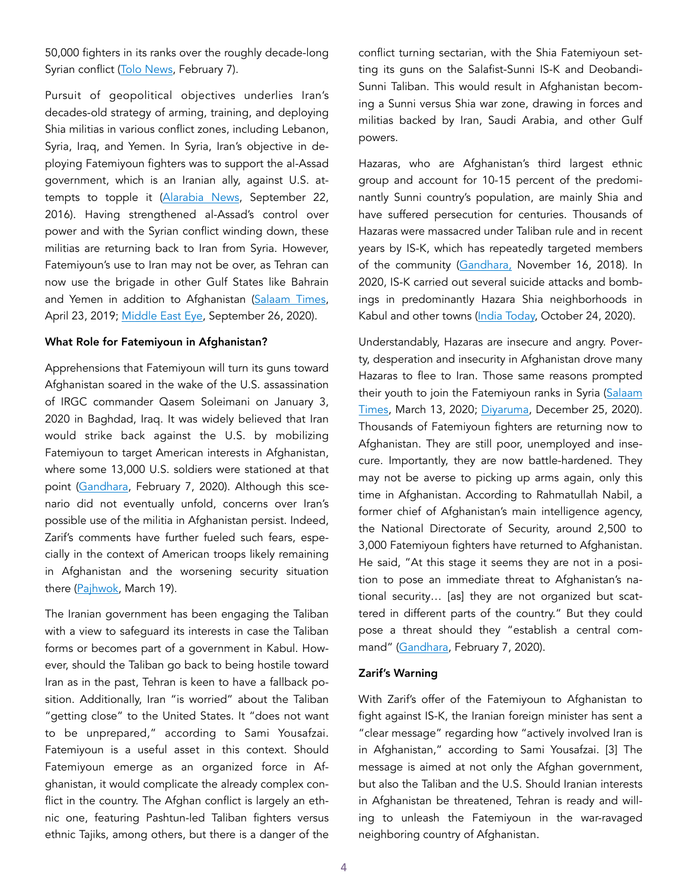50,000 fighters in its ranks over the roughly decade-long Syrian conflict [\(Tolo News,](https://tolonews.com/opinion-169821) February 7).

Pursuit of geopolitical objectives underlies Iran's decades-old strategy of arming, training, and deploying Shia militias in various conflict zones, including Lebanon, Syria, Iraq, and Yemen. In Syria, Iran's objective in deploying Fatemiyoun fighters was to support the al-Assad government, which is an Iranian ally, against U.S. attempts to topple it ([Alarabia News](https://english.alarabiya.net/News/middle-east/2016/09/22/Abandoning-discretion-Iran-proclaims-role-in-Syrian-war), September 22, 2016). Having strengthened al-Assad's control over power and with the Syrian conflict winding down, these militias are returning back to Iran from Syria. However, Fatemiyoun's use to Iran may not be over, as Tehran can now use the brigade in other Gulf States like Bahrain and Yemen in addition to Afghanistan [\(Salaam Times,](https://afghanistan.asia-news.com/en_GB/articles/cnmi_st/features/2019/04/23/feature-03) April 23, 2019; [Middle East Eye](https://www.middleeasteye.net/news/syria-afghan-fatemiyoun-brigade-redeployed-iran), September 26, 2020).

#### What Role for Fatemiyoun in Afghanistan?

Apprehensions that Fatemiyoun will turn its guns toward Afghanistan soared in the wake of the U.S. assassination of IRGC commander Qasem Soleimani on January 3, 2020 in Baghdad, Iraq. It was widely believed that Iran would strike back against the U.S. by mobilizing Fatemiyoun to target American interests in Afghanistan, where some 13,000 U.S. soldiers were stationed at that point [\(Gandhara](https://gandhara.rferl.org/a/the-return-of-pro-iranian-militia-fighters-to-afghanistan-fuels-fears-in-kabul-washington/30422858.html), February 7, 2020). Although this scenario did not eventually unfold, concerns over Iran's possible use of the militia in Afghanistan persist. Indeed, Zarif's comments have further fueled such fears, especially in the context of American troops likely remaining in Afghanistan and the worsening security situation there ([Pajhwok](https://pajhwok.com/2021/03/19/washington-considering-6-month-extension-for-us-troops-in-afghanistan/), March 19).

The Iranian government has been engaging the Taliban with a view to safeguard its interests in case the Taliban forms or becomes part of a government in Kabul. However, should the Taliban go back to being hostile toward Iran as in the past, Tehran is keen to have a fallback position. Additionally, Iran "is worried" about the Taliban "getting close" to the United States. It "does not want to be unprepared," according to Sami Yousafzai. Fatemiyoun is a useful asset in this context. Should Fatemiyoun emerge as an organized force in Afghanistan, it would complicate the already complex conflict in the country. The Afghan conflict is largely an ethnic one, featuring Pashtun-led Taliban fighters versus ethnic Tajiks, among others, but there is a danger of the

conflict turning sectarian, with the Shia Fatemiyoun setting its guns on the Salafist-Sunni IS-K and Deobandi-Sunni Taliban. This would result in Afghanistan becoming a Sunni versus Shia war zone, drawing in forces and militias backed by Iran, Saudi Arabia, and other Gulf powers.

Hazaras, who are Afghanistan's third largest ethnic group and account for 10-15 percent of the predominantly Sunni country's population, are mainly Shia and have suffered persecution for centuries. Thousands of Hazaras were massacred under Taliban rule and in recent years by IS-K, which has repeatedly targeted members of the community ([Gandhara,](https://gandhara.rferl.org/a/afghanistan-why-are-the-taliban-attacking-hazaras/29604830.html) November 16, 2018). In 2020, IS-K carried out several suicide attacks and bombings in predominantly Hazara Shia neighborhoods in Kabul and other towns [\(India Today,](https://www.indiatoday.in/world/story/afghanistan-kabul-suicide-bombing-schoolchildren-killed-1734798-2020-10-24) October 24, 2020).

Understandably, Hazaras are insecure and angry. Poverty, desperation and insecurity in Afghanistan drove many Hazaras to flee to Iran. Those same reasons prompted their youth to join the Fatemiyoun ranks in Syria ([Salaam](https://afghanistan.asia-news.com/en_GB/articles/cnmi_st/features/2020/03/13/feature-01) [Times,](https://afghanistan.asia-news.com/en_GB/articles/cnmi_st/features/2020/03/13/feature-01) March 13, 2020; [Diyaruma,](https://diyaruna.com/en_GB/articles/cnmi_di/features/2020/12/25/feature-01) December 25, 2020). Thousands of Fatemiyoun fighters are returning now to Afghanistan. They are still poor, unemployed and insecure. Importantly, they are now battle-hardened. They may not be averse to picking up arms again, only this time in Afghanistan. According to Rahmatullah Nabil, a former chief of Afghanistan's main intelligence agency, the National Directorate of Security, around 2,500 to 3,000 Fatemiyoun fighters have returned to Afghanistan. He said, "At this stage it seems they are not in a position to pose an immediate threat to Afghanistan's national security… [as] they are not organized but scattered in different parts of the country." But they could pose a threat should they "establish a central command" [\(Gandhara](https://gandhara.rferl.org/a/the-return-of-pro-iranian-militia-fighters-to-afghanistan-fuels-fears-in-kabul-washington/30422858.html), February 7, 2020).

### Zarif's Warning

With Zarif's offer of the Fatemiyoun to Afghanistan to fight against IS-K, the Iranian foreign minister has sent a "clear message" regarding how "actively involved Iran is in Afghanistan," according to Sami Yousafzai. [3] The message is aimed at not only the Afghan government, but also the Taliban and the U.S. Should Iranian interests in Afghanistan be threatened, Tehran is ready and willing to unleash the Fatemiyoun in the war-ravaged neighboring country of Afghanistan.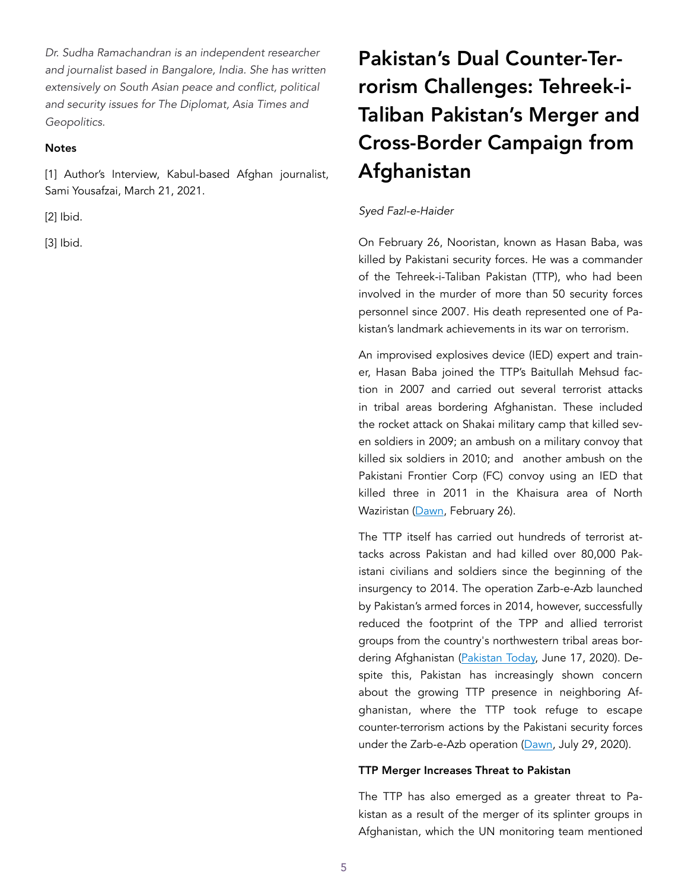*Dr. Sudha Ramachandran is an independent researcher and journalist based in Bangalore, India. She has written extensively on South Asian peace and conflict, political and security issues for The Diplomat, Asia Times and Geopolitics.* 

## **Notes**

[1] Author's Interview, Kabul-based Afghan journalist, Sami Yousafzai, March 21, 2021.

[2] Ibid.

[3] Ibid.

# Pakistan's Dual Counter-Terrorism Challenges: Tehreek-i-Taliban Pakistan's Merger and Cross-Border Campaign from Afghanistan

# *Syed Fazl-e-Haider*

On February 26, Nooristan, known as Hasan Baba, was killed by Pakistani security forces. He was a commander of the Tehreek-i-Taliban Pakistan (TTP), who had been involved in the murder of more than 50 security forces personnel since 2007. His death represented one of Pakistan's landmark achievements in its war on terrorism.

An improvised explosives device (IED) expert and trainer, Hasan Baba joined the TTP's Baitullah Mehsud faction in 2007 and carried out several terrorist attacks in tribal areas bordering Afghanistan. These included the rocket attack on Shakai military camp that killed seven soldiers in 2009; an ambush on a military convoy that killed six soldiers in 2010; and another ambush on the Pakistani Frontier Corp (FC) convoy using an IED that killed three in 2011 in the Khaisura area of North Waziristan ([Dawn](https://www.dawn.com/news/1609528/security-forces-kill-ttp-commander-involved-in-martyrdom-of-more-than-50-personnel), February 26).

The TTP itself has carried out hundreds of terrorist attacks across Pakistan and had killed over 80,000 Pakistani civilians and soldiers since the beginning of the insurgency to 2014. The operation Zarb-e-Azb launched by Pakistan's armed forces in 2014, however, successfully reduced the footprint of the TPP and allied terrorist groups from the country's northwestern tribal areas bor-dering Afghanistan ([Pakistan Today,](https://archive.pakistantoday.com.pk/2020/06/17/six-years-since-launch-of-zarb-e-azb/) June 17, 2020). Despite this, Pakistan has increasingly shown concern about the growing TTP presence in neighboring Afghanistan, where the TTP took refuge to escape counter-terrorism actions by the Pakistani security forces under the Zarb-e-Azb operation (Dawn, July 29, 2020).

### TTP Merger Increases Threat to Pakistan

The TTP has also emerged as a greater threat to Pakistan as a result of the merger of its splinter groups in Afghanistan, which the UN monitoring team mentioned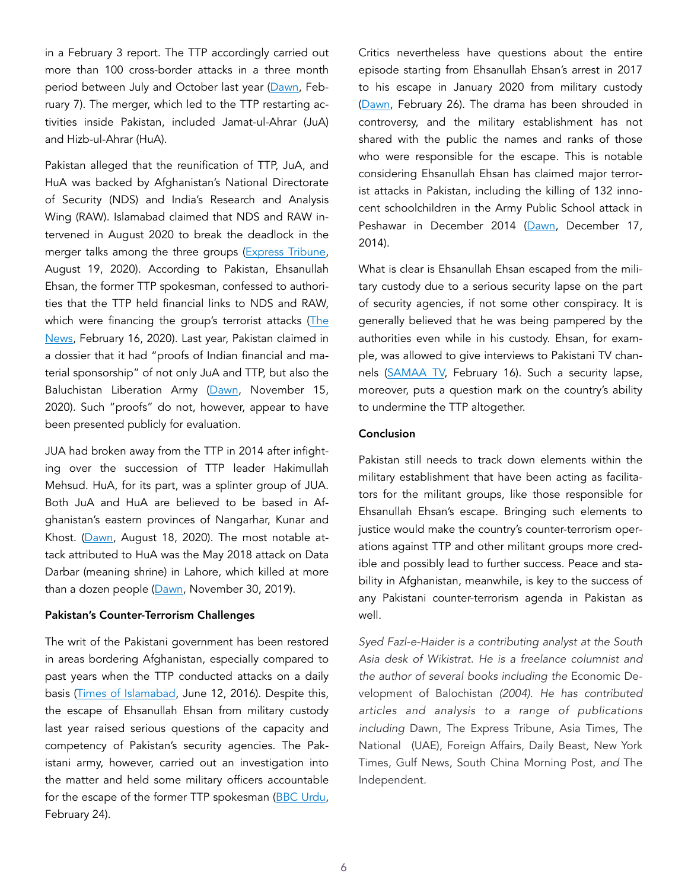in a February 3 report. The TTP accordingly carried out more than 100 cross-border attacks in a three month period between July and October last year ([Dawn,](https://www.dawn.com/news/1606016/un-report-acknowledges-pakistans-efforts-against-terrorist-groups-warns-of-threat-faced-from-ttp) February 7). The merger, which led to the TTP restarting activities inside Pakistan, included Jamat-ul-Ahrar (JuA) and Hizb-ul-Ahrar (HuA).

Pakistan alleged that the reunification of TTP, JuA, and HuA was backed by Afghanistan's National Directorate of Security (NDS) and India's Research and Analysis Wing (RAW). Islamabad claimed that NDS and RAW intervened in August 2020 to break the deadlock in the merger talks among the three groups ([Express Tribune,](https://tribune.com.pk/story/2260213/ttp-regroups-with-jua-hua-in-afghanistan?amp=1) August 19, 2020). According to Pakistan, Ehsanullah Ehsan, the former TTP spokesman, confessed to authorities that the TTP held financial links to NDS and RAW, which were financing the group's terrorist attacks (The [News,](https://www.thenews.com.pk/tns/detail/613866-terrorist-at-large) February 16, 2020). Last year, Pakistan claimed in a dossier that it had "proofs of Indian financial and material sponsorship" of not only JuA and TTP, but also the Baluchistan Liberation Army ([Dawn](https://www.dawn.com/news/1590441), November 15, 2020). Such "proofs" do not, however, appear to have been presented publicly for evaluation.

JUA had broken away from the TTP in 2014 after infighting over the succession of TTP leader Hakimullah Mehsud. HuA, for its part, was a splinter group of JUA. Both JuA and HuA are believed to be based in Afghanistan's eastern provinces of Nangarhar, Kunar and Khost. (Dawn, August 18, 2020). The most notable attack attributed to HuA was the May 2018 attack on Data Darbar (meaning shrine) in Lahore, which killed at more than a dozen people ([Dawn](https://www.dawn.com/news/1519559), November 30, 2019).

#### Pakistan's Counter-Terrorism Challenges

The writ of the Pakistani government has been restored in areas bordering Afghanistan, especially compared to past years when the TTP conducted attacks on a daily basis [\(Times of Islamabad](https://timesofislamabad.com/21-Jun-2016/operation-zarb-e-azb-2-years-achievements), June 12, 2016). Despite this, the escape of Ehsanullah Ehsan from military custody last year raised serious questions of the capacity and competency of Pakistan's security agencies. The Pakistani army, however, carried out an investigation into the matter and held some military officers accountable for the escape of the former TTP spokesman ([BBC Urdu,](https://www.bbc.com/urdu/pakistan-56179340) February 24).

Critics nevertheless have questions about the entire episode starting from Ehsanullah Ehsan's arrest in 2017 to his escape in January 2020 from military custody ([Dawn](https://www.dawn.com/news/1609484/terrorists-escape), February 26). The drama has been shrouded in controversy, and the military establishment has not shared with the public the names and ranks of those who were responsible for the escape. This is notable considering Ehsanullah Ehsan has claimed major terrorist attacks in Pakistan, including the killing of 132 innocent schoolchildren in the Army Public School attack in Peshawar in December 2014 [\(Dawn](https://www.dawn.com/news/1151361), December 17, 2014).

What is clear is Ehsanullah Ehsan escaped from the military custody due to a serious security lapse on the part of security agencies, if not some other conspiracy. It is generally believed that he was being pampered by the authorities even while in his custody. Ehsan, for example, was allowed to give interviews to Pakistani TV channels ([SAMAA TV,](https://www.samaa.tv/news/2021/02/how-did-ehsanullah-ehsan-escape-from-pakistans-custody-questions-malala/) February 16). Such a security lapse, moreover, puts a question mark on the country's ability to undermine the TTP altogether.

## Conclusion

Pakistan still needs to track down elements within the military establishment that have been acting as facilitators for the militant groups, like those responsible for Ehsanullah Ehsan's escape. Bringing such elements to justice would make the country's counter-terrorism operations against TTP and other militant groups more credible and possibly lead to further success. Peace and stability in Afghanistan, meanwhile, is key to the success of any Pakistani counter-terrorism agenda in Pakistan as well.

*Syed Fazl-e-Haider is a contributing analyst at the South Asia desk of Wikistrat. He is a freelance columnist and the author of several books including the* Economic Development of Balochistan *(2004). He has contributed articles and analysis to a range of publications including* Dawn, The Express Tribune, Asia Times, The National (UAE), Foreign Affairs, Daily Beast*,* New York Times, Gulf News, South China Morning Post, *and* The Independent*.*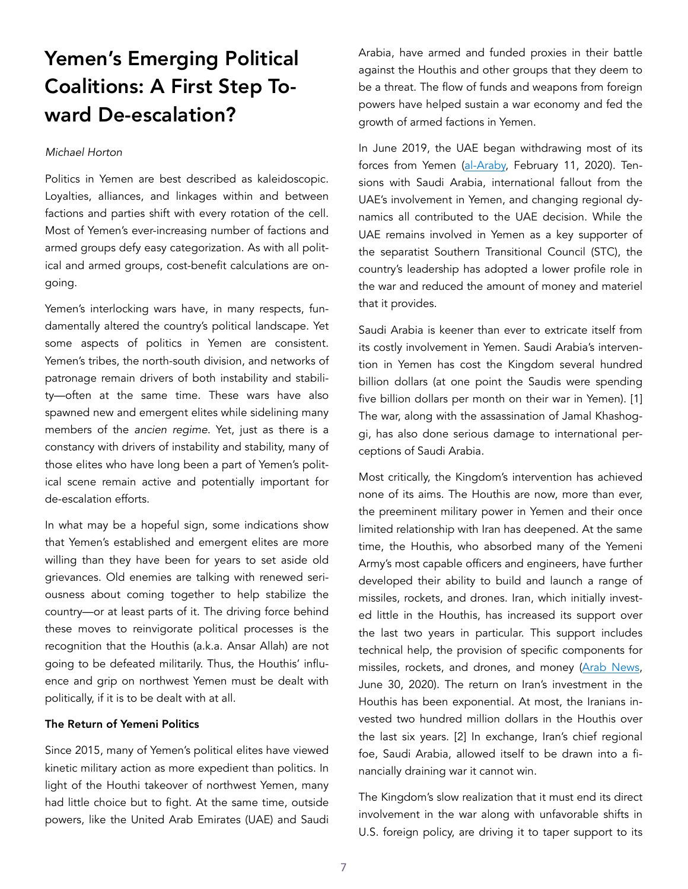# Yemen's Emerging Political Coalitions: A First Step Toward De-escalation?

#### *Michael Horton*

Politics in Yemen are best described as kaleidoscopic. Loyalties, alliances, and linkages within and between factions and parties shift with every rotation of the cell. Most of Yemen's ever-increasing number of factions and armed groups defy easy categorization. As with all political and armed groups, cost-benefit calculations are ongoing.

Yemen's interlocking wars have, in many respects, fundamentally altered the country's political landscape. Yet some aspects of politics in Yemen are consistent. Yemen's tribes, the north-south division, and networks of patronage remain drivers of both instability and stability—often at the same time. These wars have also spawned new and emergent elites while sidelining many members of the *ancien regime*. Yet, just as there is a constancy with drivers of instability and stability, many of those elites who have long been a part of Yemen's political scene remain active and potentially important for de-escalation efforts.

In what may be a hopeful sign, some indications show that Yemen's established and emergent elites are more willing than they have been for years to set aside old grievances. Old enemies are talking with renewed seriousness about coming together to help stabilize the country—or at least parts of it. The driving force behind these moves to reinvigorate political processes is the recognition that the Houthis (a.k.a. Ansar Allah) are not going to be defeated militarily. Thus, the Houthis' influence and grip on northwest Yemen must be dealt with politically, if it is to be dealt with at all.

## The Return of Yemeni Politics

Since 2015, many of Yemen's political elites have viewed kinetic military action as more expedient than politics. In light of the Houthi takeover of northwest Yemen, many had little choice but to fight. At the same time, outside powers, like the United Arab Emirates (UAE) and Saudi Arabia, have armed and funded proxies in their battle against the Houthis and other groups that they deem to be a threat. The flow of funds and weapons from foreign powers have helped sustain a war economy and fed the growth of armed factions in Yemen.

In June 2019, the UAE began withdrawing most of its forces from Yemen ([al-Araby,](https://english.alaraby.co.uk/english/news/2020/2/11/hundreds-of-uae-soldiers-withdraw-from-deadly-yemen-conflict) February 11, 2020). Tensions with Saudi Arabia, international fallout from the UAE's involvement in Yemen, and changing regional dynamics all contributed to the UAE decision. While the UAE remains involved in Yemen as a key supporter of the separatist Southern Transitional Council (STC), the country's leadership has adopted a lower profile role in the war and reduced the amount of money and materiel that it provides.

Saudi Arabia is keener than ever to extricate itself from its costly involvement in Yemen. Saudi Arabia's intervention in Yemen has cost the Kingdom several hundred billion dollars (at one point the Saudis were spending five billion dollars per month on their war in Yemen). [1] The war, along with the assassination of Jamal Khashoggi, has also done serious damage to international perceptions of Saudi Arabia.

Most critically, the Kingdom's intervention has achieved none of its aims. The Houthis are now, more than ever, the preeminent military power in Yemen and their once limited relationship with Iran has deepened. At the same time, the Houthis, who absorbed many of the Yemeni Army's most capable officers and engineers, have further developed their ability to build and launch a range of missiles, rockets, and drones. Iran, which initially invested little in the Houthis, has increased its support over the last two years in particular. This support includes technical help, the provision of specific components for missiles, rockets, and drones, and money [\(Arab News](https://www.arabnews.com/node/1697466/middle-east), June 30, 2020). The return on Iran's investment in the Houthis has been exponential. At most, the Iranians invested two hundred million dollars in the Houthis over the last six years. [2] In exchange, Iran's chief regional foe, Saudi Arabia, allowed itself to be drawn into a financially draining war it cannot win.

The Kingdom's slow realization that it must end its direct involvement in the war along with unfavorable shifts in U.S. foreign policy, are driving it to taper support to its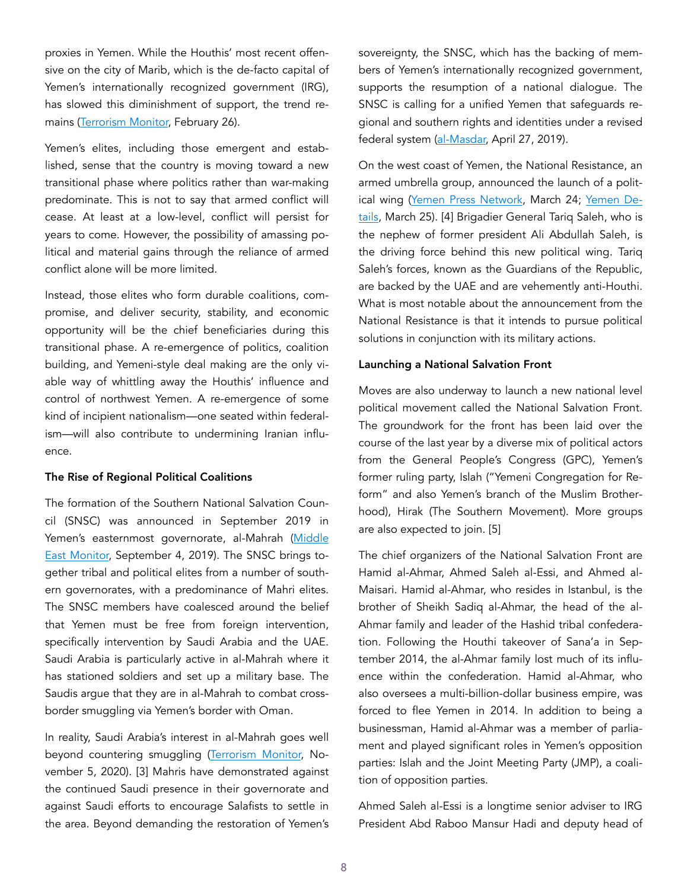proxies in Yemen. While the Houthis' most recent offensive on the city of Marib, which is the de-facto capital of Yemen's internationally recognized government (IRG), has slowed this diminishment of support, the trend remains [\(Terrorism Monitor,](https://jamestown.org/program/yemens-fate-hinges-on-the-battle-for-marib/) February 26).

Yemen's elites, including those emergent and established, sense that the country is moving toward a new transitional phase where politics rather than war-making predominate. This is not to say that armed conflict will cease. At least at a low-level, conflict will persist for years to come. However, the possibility of amassing political and material gains through the reliance of armed conflict alone will be more limited.

Instead, those elites who form durable coalitions, compromise, and deliver security, stability, and economic opportunity will be the chief beneficiaries during this transitional phase. A re-emergence of politics, coalition building, and Yemeni-style deal making are the only viable way of whittling away the Houthis' influence and control of northwest Yemen. A re-emergence of some kind of incipient nationalism—one seated within federalism—will also contribute to undermining Iranian influence.

#### The Rise of Regional Political Coalitions

The formation of the Southern National Salvation Council (SNSC) was announced in September 2019 in Yemen's easternmost governorate, al-Mahrah [\(Middle](https://www.middleeastmonitor.com/20190904-new-resistance-movement-announced-in-south-yemen/)  [East Monitor,](https://www.middleeastmonitor.com/20190904-new-resistance-movement-announced-in-south-yemen/) September 4, 2019). The SNSC brings together tribal and political elites from a number of southern governorates, with a predominance of Mahri elites. The SNSC members have coalesced around the belief that Yemen must be free from foreign intervention, specifically intervention by Saudi Arabia and the UAE. Saudi Arabia is particularly active in al-Mahrah where it has stationed soldiers and set up a military base. The Saudis argue that they are in al-Mahrah to combat crossborder smuggling via Yemen's border with Oman.

In reality, Saudi Arabia's interest in al-Mahrah goes well beyond countering smuggling [\(Terrorism Monitor,](https://jamestown.org/program/yemens-war-tests-omans-neutrality-focusing-on-the-saudi-footprint-in-al-mahra/) November 5, 2020). [3] Mahris have demonstrated against the continued Saudi presence in their governorate and against Saudi efforts to encourage Salafists to settle in the area. Beyond demanding the restoration of Yemen's

sovereignty, the SNSC, which has the backing of members of Yemen's internationally recognized government, supports the resumption of a national dialogue. The SNSC is calling for a unified Yemen that safeguards regional and southern rights and identities under a revised federal system (al-Masdar, April 27, 2019).

On the west coast of Yemen, the National Resistance, an armed umbrella group, announced the launch of a polit-ical wing [\(Yemen Press Network](https://yazaan.net/news618.html), March 24; [Yemen De](https://www.yemend.com/news3794.html)[tails,](https://www.yemend.com/news3794.html) March 25). [4] Brigadier General Tariq Saleh, who is the nephew of former president Ali Abdullah Saleh, is the driving force behind this new political wing. Tariq Saleh's forces, known as the Guardians of the Republic, are backed by the UAE and are vehemently anti-Houthi. What is most notable about the announcement from the National Resistance is that it intends to pursue political solutions in conjunction with its military actions.

#### Launching a National Salvation Front

Moves are also underway to launch a new national level political movement called the National Salvation Front. The groundwork for the front has been laid over the course of the last year by a diverse mix of political actors from the General People's Congress (GPC), Yemen's former ruling party, Islah ("Yemeni Congregation for Reform" and also Yemen's branch of the Muslim Brotherhood), Hirak (The Southern Movement). More groups are also expected to join. [5]

The chief organizers of the National Salvation Front are Hamid al-Ahmar, Ahmed Saleh al-Essi, and Ahmed al-Maisari. Hamid al-Ahmar, who resides in Istanbul, is the brother of Sheikh Sadiq al-Ahmar, the head of the al-Ahmar family and leader of the Hashid tribal confederation. Following the Houthi takeover of Sana'a in September 2014, the al-Ahmar family lost much of its influence within the confederation. Hamid al-Ahmar, who also oversees a multi-billion-dollar business empire, was forced to flee Yemen in 2014. In addition to being a businessman, Hamid al-Ahmar was a member of parliament and played significant roles in Yemen's opposition parties: Islah and the Joint Meeting Party (JMP), a coalition of opposition parties.

Ahmed Saleh al-Essi is a longtime senior adviser to IRG President Abd Raboo Mansur Hadi and deputy head of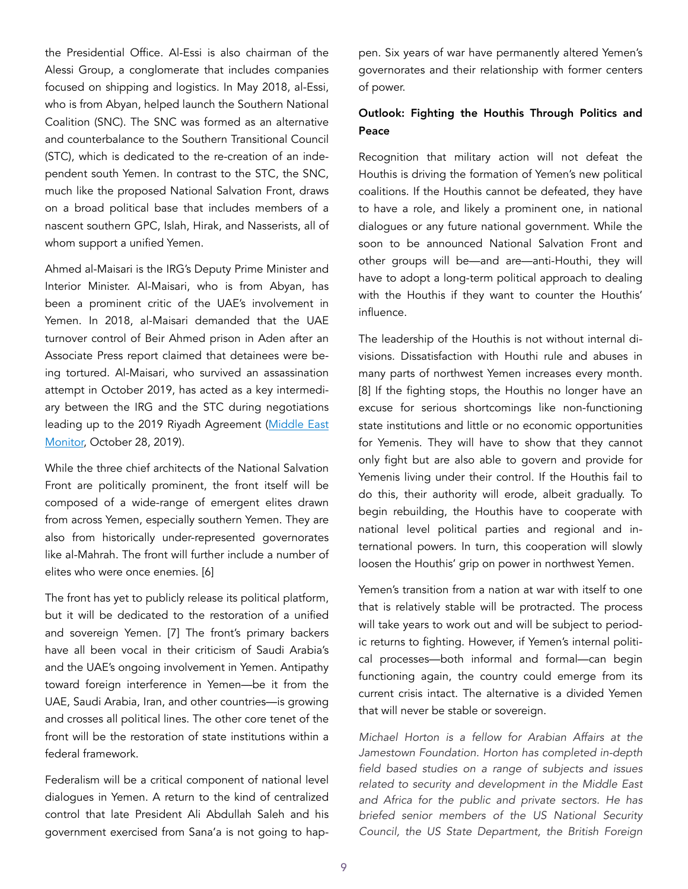the Presidential Office. Al-Essi is also chairman of the Alessi Group, a conglomerate that includes companies focused on shipping and logistics. In May 2018, al-Essi, who is from Abyan, helped launch the Southern National Coalition (SNC). The SNC was formed as an alternative and counterbalance to the Southern Transitional Council (STC), which is dedicated to the re-creation of an independent south Yemen. In contrast to the STC, the SNC, much like the proposed National Salvation Front, draws on a broad political base that includes members of a nascent southern GPC, Islah, Hirak, and Nasserists, all of whom support a unified Yemen.

Ahmed al-Maisari is the IRG's Deputy Prime Minister and Interior Minister. Al-Maisari, who is from Abyan, has been a prominent critic of the UAE's involvement in Yemen. In 2018, al-Maisari demanded that the UAE turnover control of Beir Ahmed prison in Aden after an Associate Press report claimed that detainees were being tortured. Al-Maisari, who survived an assassination attempt in October 2019, has acted as a key intermediary between the IRG and the STC during negotiations leading up to the 2019 Riyadh Agreement ([Middle East](https://www.middleeastmonitor.com/20191028-2-ministers-yemen-government-survive-assassination-attempt/)  [Monitor,](https://www.middleeastmonitor.com/20191028-2-ministers-yemen-government-survive-assassination-attempt/) October 28, 2019).

While the three chief architects of the National Salvation Front are politically prominent, the front itself will be composed of a wide-range of emergent elites drawn from across Yemen, especially southern Yemen. They are also from historically under-represented governorates like al-Mahrah. The front will further include a number of elites who were once enemies. [6]

The front has yet to publicly release its political platform, but it will be dedicated to the restoration of a unified and sovereign Yemen. [7] The front's primary backers have all been vocal in their criticism of Saudi Arabia's and the UAE's ongoing involvement in Yemen. Antipathy toward foreign interference in Yemen—be it from the UAE, Saudi Arabia, Iran, and other countries—is growing and crosses all political lines. The other core tenet of the front will be the restoration of state institutions within a federal framework.

Federalism will be a critical component of national level dialogues in Yemen. A return to the kind of centralized control that late President Ali Abdullah Saleh and his government exercised from Sana'a is not going to happen. Six years of war have permanently altered Yemen's governorates and their relationship with former centers of power.

# Outlook: Fighting the Houthis Through Politics and Peace

Recognition that military action will not defeat the Houthis is driving the formation of Yemen's new political coalitions. If the Houthis cannot be defeated, they have to have a role, and likely a prominent one, in national dialogues or any future national government. While the soon to be announced National Salvation Front and other groups will be—and are—anti-Houthi, they will have to adopt a long-term political approach to dealing with the Houthis if they want to counter the Houthis' influence.

The leadership of the Houthis is not without internal divisions. Dissatisfaction with Houthi rule and abuses in many parts of northwest Yemen increases every month. [8] If the fighting stops, the Houthis no longer have an excuse for serious shortcomings like non-functioning state institutions and little or no economic opportunities for Yemenis. They will have to show that they cannot only fight but are also able to govern and provide for Yemenis living under their control. If the Houthis fail to do this, their authority will erode, albeit gradually. To begin rebuilding, the Houthis have to cooperate with national level political parties and regional and international powers. In turn, this cooperation will slowly loosen the Houthis' grip on power in northwest Yemen.

Yemen's transition from a nation at war with itself to one that is relatively stable will be protracted. The process will take years to work out and will be subject to periodic returns to fighting. However, if Yemen's internal political processes—both informal and formal—can begin functioning again, the country could emerge from its current crisis intact. The alternative is a divided Yemen that will never be stable or sovereign.

*Michael Horton is a fellow for Arabian Affairs at the Jamestown Foundation. Horton has completed in-depth field based studies on a range of subjects and issues related to security and development in the Middle East and Africa for the public and private sectors. He has briefed senior members of the US National Security Council, the US State Department, the British Foreign*